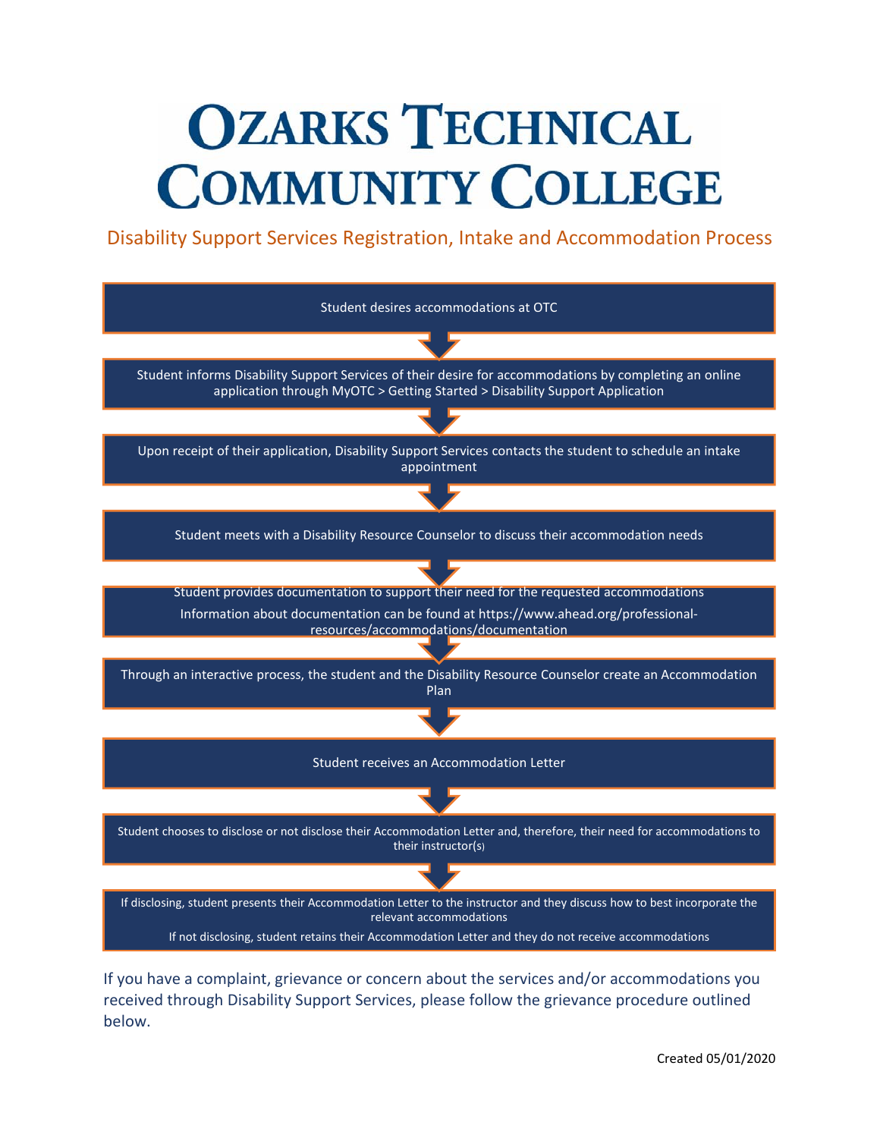# **OZARKS TECHNICAL COMMUNITY COLLEGE**

Disability Support Services Registration, Intake and Accommodation Process



If you have a complaint, grievance or concern about the services and/or accommodations you received through Disability Support Services, please follow the grievance procedure outlined below.

Created 05/01/2020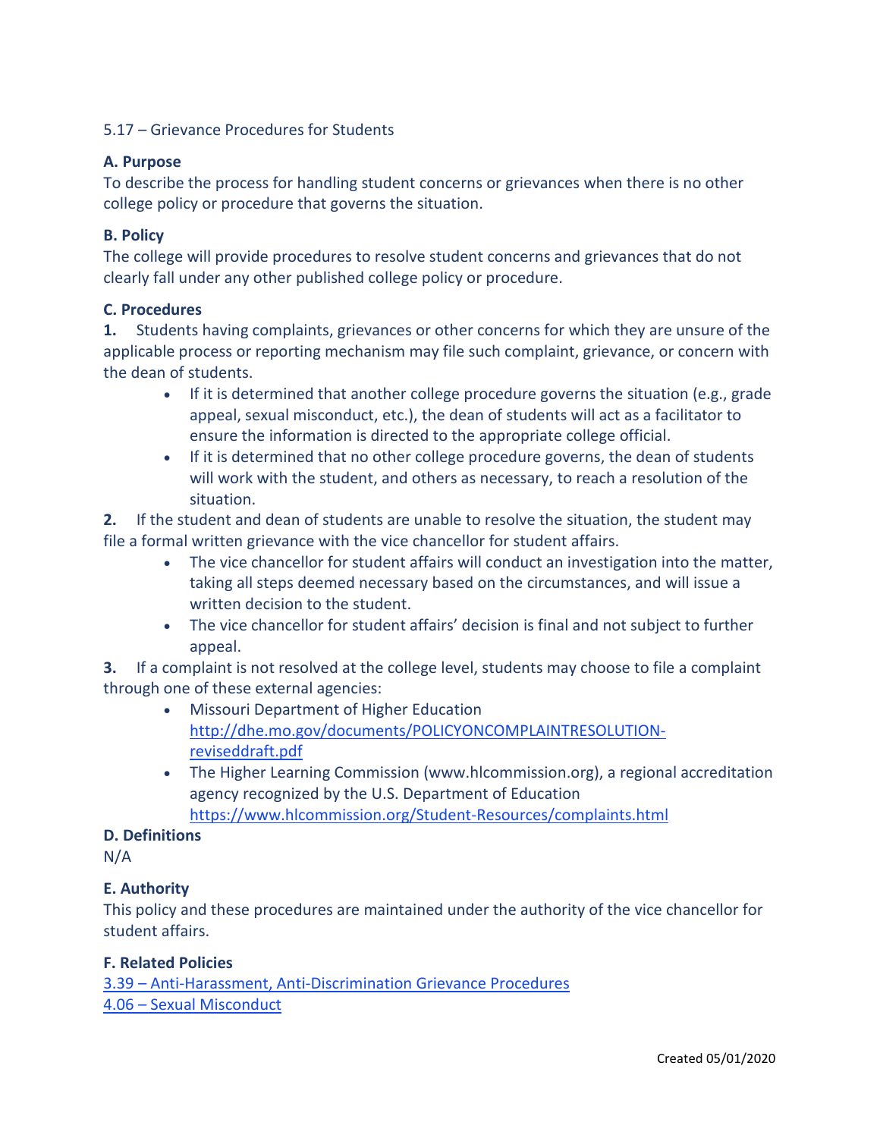### 5.17 – Grievance Procedures for Students

#### **A. Purpose**

To describe the process for handling student concerns or grievances when there is no other college policy or procedure that governs the situation.

### **B. Policy**

The college will provide procedures to resolve student concerns and grievances that do not clearly fall under any other published college policy or procedure.

#### **C. Procedures**

**1.** Students having complaints, grievances or other concerns for which they are unsure of the applicable process or reporting mechanism may file such complaint, grievance, or concern with the dean of students.

- If it is determined that another college procedure governs the situation (e.g., grade appeal, sexual misconduct, etc.), the dean of students will act as a facilitator to ensure the information is directed to the appropriate college official.
- If it is determined that no other college procedure governs, the dean of students will work with the student, and others as necessary, to reach a resolution of the situation.

**2.** If the student and dean of students are unable to resolve the situation, the student may file a formal written grievance with the vice chancellor for student affairs.

- The vice chancellor for student affairs will conduct an investigation into the matter, taking all steps deemed necessary based on the circumstances, and will issue a written decision to the student.
- The vice chancellor for student affairs' decision is final and not subject to further appeal.

**3.** If a complaint is not resolved at the college level, students may choose to file a complaint through one of these external agencies:

- Missouri Department of Higher Education [http://dhe.mo.gov/documents/POLICYONCOMPLAINTRESOLUTION](http://dhe.mo.gov/documents/POLICYONCOMPLAINTRESOLUTION-reviseddraft.pdf)[reviseddraft.pdf](http://dhe.mo.gov/documents/POLICYONCOMPLAINTRESOLUTION-reviseddraft.pdf)
- The Higher Learning Commission (www.hlcommission.org), a regional accreditation agency recognized by the U.S. Department of Education <https://www.hlcommission.org/Student-Resources/complaints.html>

#### **D. Definitions**

N/A

## **E. Authority**

This policy and these procedures are maintained under the authority of the vice chancellor for student affairs.

#### **F. Related Policies**

3.39 – [Anti-Harassment, Anti-Discrimination Grievance Procedures](https://about.otc.edu/policies/article-iii-personnel/3-39-discrimination/) 4.06 – [Sexual Misconduct](https://about.otc.edu/policies/article-iv-operations/4-06-sexual-misconduct/)